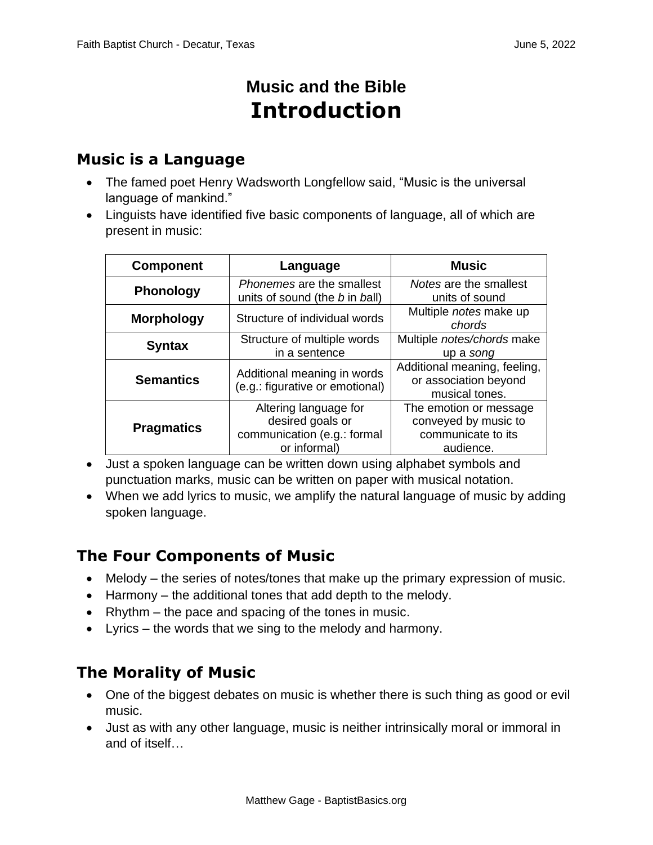# **Music and the Bible Introduction**

### **Music is a Language**

- The famed poet Henry Wadsworth Longfellow said, "Music is the universal language of mankind."
- Linguists have identified five basic components of language, all of which are present in music:

| <b>Component</b>  | Language                                                                                 | <b>Music</b>                                                                      |
|-------------------|------------------------------------------------------------------------------------------|-----------------------------------------------------------------------------------|
| <b>Phonology</b>  | Phonemes are the smallest<br>units of sound (the b in ball)                              | Notes are the smallest<br>units of sound                                          |
| <b>Morphology</b> | Structure of individual words                                                            | Multiple notes make up<br>chords                                                  |
| <b>Syntax</b>     | Structure of multiple words<br>in a sentence                                             | Multiple notes/chords make<br>up a song                                           |
| <b>Semantics</b>  | Additional meaning in words<br>(e.g.: figurative or emotional)                           | Additional meaning, feeling,<br>or association beyond<br>musical tones.           |
| <b>Pragmatics</b> | Altering language for<br>desired goals or<br>communication (e.g.: formal<br>or informal) | The emotion or message<br>conveyed by music to<br>communicate to its<br>audience. |

- Just a spoken language can be written down using alphabet symbols and punctuation marks, music can be written on paper with musical notation.
- When we add lyrics to music, we amplify the natural language of music by adding spoken language.

# **The Four Components of Music**

- Melody the series of notes/tones that make up the primary expression of music.
- Harmony the additional tones that add depth to the melody.
- Rhythm the pace and spacing of the tones in music.
- Lyrics the words that we sing to the melody and harmony.

# **The Morality of Music**

- One of the biggest debates on music is whether there is such thing as good or evil music.
- Just as with any other language, music is neither intrinsically moral or immoral in and of itself…